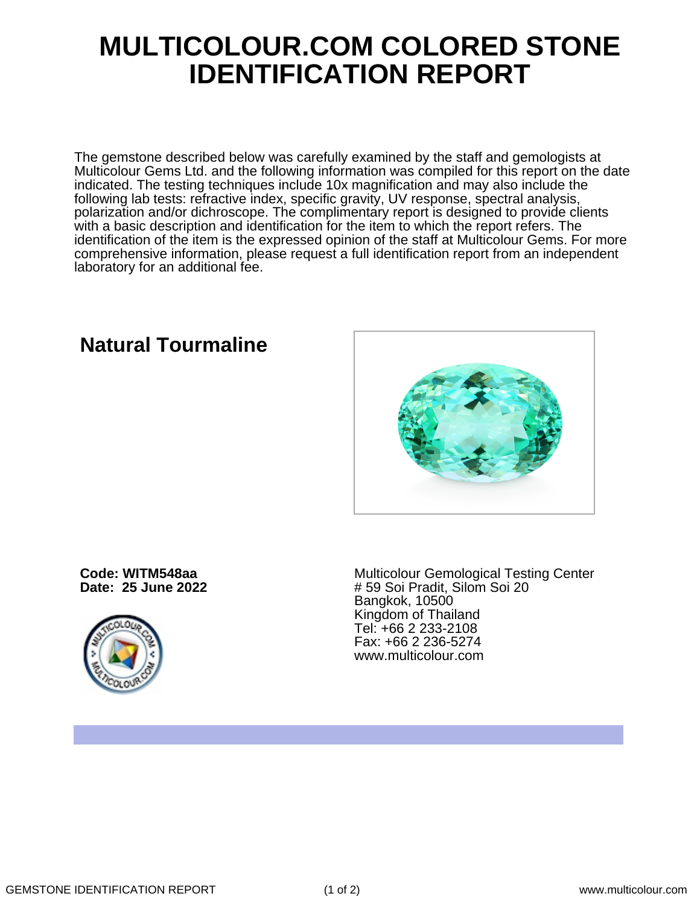## **MULTICOLOUR.COM COLORED STONE IDENTIFICATION REPORT**

The gemstone described below was carefully examined by the staff and gemologists at Multicolour Gems Ltd. and the following information was compiled for this report on the date indicated. The testing techniques include 10x magnification and may also include the following lab tests: refractive index, specific gravity, UV response, spectral analysis, polarization and/or dichroscope. The complimentary report is designed to provide clients with a basic description and identification for the item to which the report refers. The identification of the item is the expressed opinion of the staff at Multicolour Gems. For more comprehensive information, please request a full identification report from an independent laboratory for an additional fee.

**Natural Tourmaline**

**Code: WITM548aa Date: 25 June 2022**



Multicolour Gemological Testing Center # 59 Soi Pradit, Silom Soi 20 Bangkok, 10500 Kingdom of Thailand Tel: +66 2 233-2108 Fax: +66 2 236-5274 www.multicolour.com